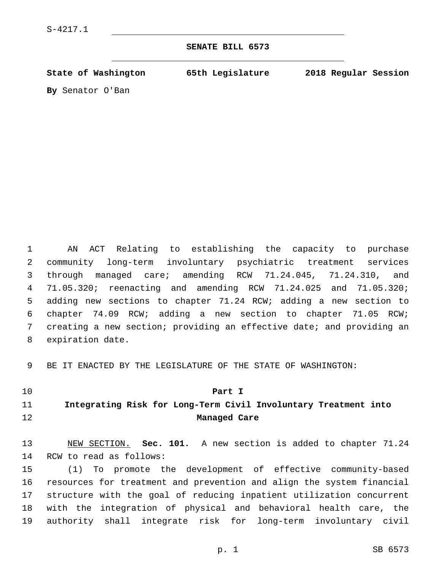## **SENATE BILL 6573**

**State of Washington 65th Legislature 2018 Regular Session**

**By** Senator O'Ban

 AN ACT Relating to establishing the capacity to purchase community long-term involuntary psychiatric treatment services through managed care; amending RCW 71.24.045, 71.24.310, and 71.05.320; reenacting and amending RCW 71.24.025 and 71.05.320; adding new sections to chapter 71.24 RCW; adding a new section to chapter 74.09 RCW; adding a new section to chapter 71.05 RCW; creating a new section; providing an effective date; and providing an 8 expiration date.

BE IT ENACTED BY THE LEGISLATURE OF THE STATE OF WASHINGTON:

## **Part I**

## **Integrating Risk for Long-Term Civil Involuntary Treatment into Managed Care**

 NEW SECTION. **Sec. 101.** A new section is added to chapter 71.24 14 RCW to read as follows:

 (1) To promote the development of effective community-based resources for treatment and prevention and align the system financial structure with the goal of reducing inpatient utilization concurrent with the integration of physical and behavioral health care, the authority shall integrate risk for long-term involuntary civil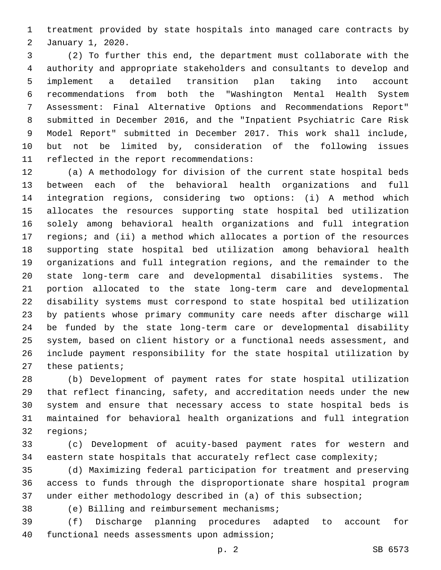treatment provided by state hospitals into managed care contracts by January 1, 2020.2

 (2) To further this end, the department must collaborate with the authority and appropriate stakeholders and consultants to develop and implement a detailed transition plan taking into account recommendations from both the "Washington Mental Health System Assessment: Final Alternative Options and Recommendations Report" submitted in December 2016, and the "Inpatient Psychiatric Care Risk Model Report" submitted in December 2017. This work shall include, but not be limited by, consideration of the following issues 11 reflected in the report recommendations:

 (a) A methodology for division of the current state hospital beds between each of the behavioral health organizations and full integration regions, considering two options: (i) A method which allocates the resources supporting state hospital bed utilization solely among behavioral health organizations and full integration regions; and (ii) a method which allocates a portion of the resources supporting state hospital bed utilization among behavioral health organizations and full integration regions, and the remainder to the state long-term care and developmental disabilities systems. The portion allocated to the state long-term care and developmental disability systems must correspond to state hospital bed utilization by patients whose primary community care needs after discharge will be funded by the state long-term care or developmental disability system, based on client history or a functional needs assessment, and include payment responsibility for the state hospital utilization by these patients;

 (b) Development of payment rates for state hospital utilization that reflect financing, safety, and accreditation needs under the new system and ensure that necessary access to state hospital beds is maintained for behavioral health organizations and full integration 32 regions;

 (c) Development of acuity-based payment rates for western and eastern state hospitals that accurately reflect case complexity;

 (d) Maximizing federal participation for treatment and preserving access to funds through the disproportionate share hospital program under either methodology described in (a) of this subsection;

38 (e) Billing and reimbursement mechanisms;

 (f) Discharge planning procedures adapted to account for 40 functional needs assessments upon admission;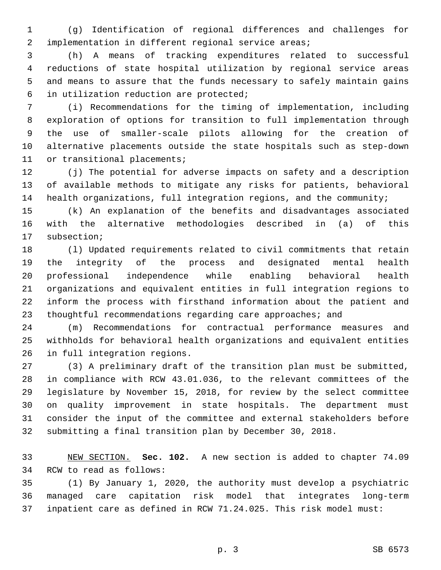(g) Identification of regional differences and challenges for implementation in different regional service areas;

 (h) A means of tracking expenditures related to successful reductions of state hospital utilization by regional service areas and means to assure that the funds necessary to safely maintain gains in utilization reduction are protected;6

 (i) Recommendations for the timing of implementation, including exploration of options for transition to full implementation through the use of smaller-scale pilots allowing for the creation of alternative placements outside the state hospitals such as step-down 11 or transitional placements;

 (j) The potential for adverse impacts on safety and a description of available methods to mitigate any risks for patients, behavioral health organizations, full integration regions, and the community;

 (k) An explanation of the benefits and disadvantages associated with the alternative methodologies described in (a) of this 17 subsection;

 (l) Updated requirements related to civil commitments that retain the integrity of the process and designated mental health professional independence while enabling behavioral health organizations and equivalent entities in full integration regions to inform the process with firsthand information about the patient and 23 thoughtful recommendations regarding care approaches; and

 (m) Recommendations for contractual performance measures and withholds for behavioral health organizations and equivalent entities 26 in full integration regions.

 (3) A preliminary draft of the transition plan must be submitted, in compliance with RCW 43.01.036, to the relevant committees of the legislature by November 15, 2018, for review by the select committee on quality improvement in state hospitals. The department must consider the input of the committee and external stakeholders before submitting a final transition plan by December 30, 2018.

 NEW SECTION. **Sec. 102.** A new section is added to chapter 74.09 34 RCW to read as follows:

 (1) By January 1, 2020, the authority must develop a psychiatric managed care capitation risk model that integrates long-term inpatient care as defined in RCW 71.24.025. This risk model must:

p. 3 SB 6573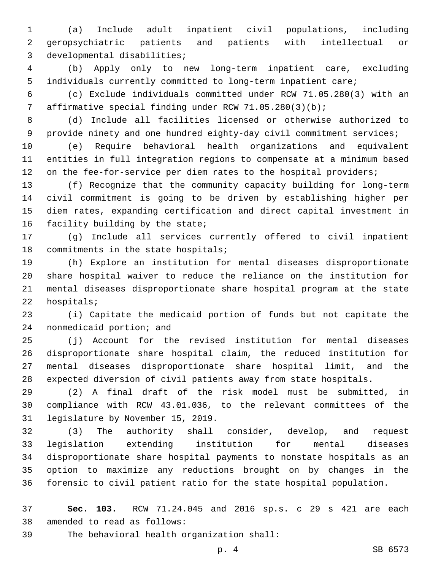(a) Include adult inpatient civil populations, including geropsychiatric patients and patients with intellectual or 3 developmental disabilities;

 (b) Apply only to new long-term inpatient care, excluding individuals currently committed to long-term inpatient care;

 (c) Exclude individuals committed under RCW 71.05.280(3) with an affirmative special finding under RCW 71.05.280(3)(b);

 (d) Include all facilities licensed or otherwise authorized to provide ninety and one hundred eighty-day civil commitment services;

 (e) Require behavioral health organizations and equivalent entities in full integration regions to compensate at a minimum based 12 on the fee-for-service per diem rates to the hospital providers;

 (f) Recognize that the community capacity building for long-term civil commitment is going to be driven by establishing higher per diem rates, expanding certification and direct capital investment in 16 facility building by the state;

 (g) Include all services currently offered to civil inpatient 18 commitments in the state hospitals;

 (h) Explore an institution for mental diseases disproportionate share hospital waiver to reduce the reliance on the institution for mental diseases disproportionate share hospital program at the state 22 hospitals;

 (i) Capitate the medicaid portion of funds but not capitate the 24 nonmedicaid portion; and

 (j) Account for the revised institution for mental diseases disproportionate share hospital claim, the reduced institution for mental diseases disproportionate share hospital limit, and the expected diversion of civil patients away from state hospitals.

 (2) A final draft of the risk model must be submitted, in compliance with RCW 43.01.036, to the relevant committees of the 31 legislature by November 15, 2019.

 (3) The authority shall consider, develop, and request legislation extending institution for mental diseases disproportionate share hospital payments to nonstate hospitals as an option to maximize any reductions brought on by changes in the forensic to civil patient ratio for the state hospital population.

 **Sec. 103.** RCW 71.24.045 and 2016 sp.s. c 29 s 421 are each 38 amended to read as follows:

39 The behavioral health organization shall: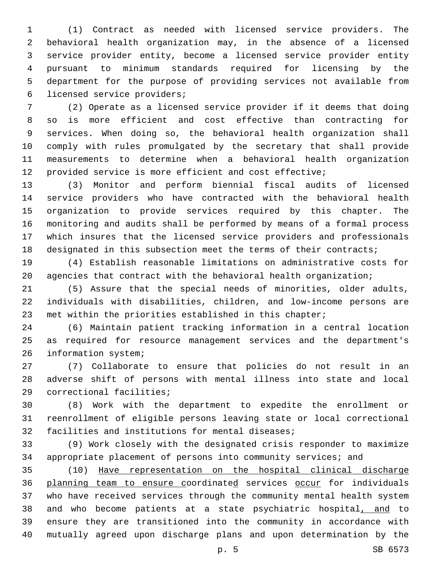(1) Contract as needed with licensed service providers. The behavioral health organization may, in the absence of a licensed service provider entity, become a licensed service provider entity pursuant to minimum standards required for licensing by the department for the purpose of providing services not available from 6 licensed service providers;

 (2) Operate as a licensed service provider if it deems that doing so is more efficient and cost effective than contracting for services. When doing so, the behavioral health organization shall comply with rules promulgated by the secretary that shall provide measurements to determine when a behavioral health organization provided service is more efficient and cost effective;

 (3) Monitor and perform biennial fiscal audits of licensed service providers who have contracted with the behavioral health organization to provide services required by this chapter. The monitoring and audits shall be performed by means of a formal process which insures that the licensed service providers and professionals 18 designated in this subsection meet the terms of their contracts;

 (4) Establish reasonable limitations on administrative costs for agencies that contract with the behavioral health organization;

 (5) Assure that the special needs of minorities, older adults, individuals with disabilities, children, and low-income persons are met within the priorities established in this chapter;

 (6) Maintain patient tracking information in a central location as required for resource management services and the department's 26 information system;

 (7) Collaborate to ensure that policies do not result in an adverse shift of persons with mental illness into state and local 29 correctional facilities;

 (8) Work with the department to expedite the enrollment or reenrollment of eligible persons leaving state or local correctional 32 facilities and institutions for mental diseases;

 (9) Work closely with the designated crisis responder to maximize appropriate placement of persons into community services; and

 (10) Have representation on the hospital clinical discharge planning team to ensure coordinated services occur for individuals who have received services through the community mental health system and who become patients at a state psychiatric hospital, and to ensure they are transitioned into the community in accordance with mutually agreed upon discharge plans and upon determination by the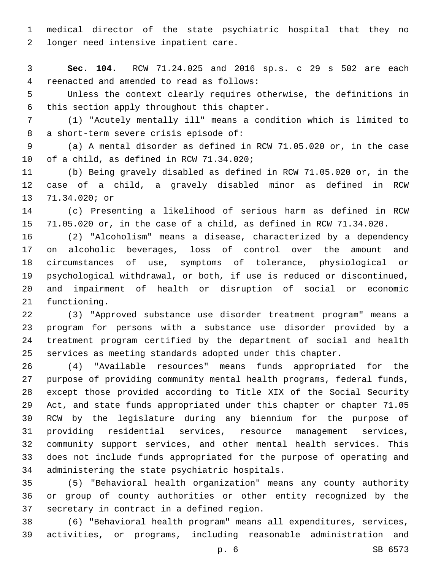medical director of the state psychiatric hospital that they no 2 longer need intensive inpatient care.

 **Sec. 104.** RCW 71.24.025 and 2016 sp.s. c 29 s 502 are each reenacted and amended to read as follows:4

 Unless the context clearly requires otherwise, the definitions in 6 this section apply throughout this chapter.

 (1) "Acutely mentally ill" means a condition which is limited to 8 a short-term severe crisis episode of:

 (a) A mental disorder as defined in RCW 71.05.020 or, in the case 10 of a child, as defined in RCW 71.34.020;

 (b) Being gravely disabled as defined in RCW 71.05.020 or, in the case of a child, a gravely disabled minor as defined in RCW 13 71.34.020; or

 (c) Presenting a likelihood of serious harm as defined in RCW 71.05.020 or, in the case of a child, as defined in RCW 71.34.020.

 (2) "Alcoholism" means a disease, characterized by a dependency on alcoholic beverages, loss of control over the amount and circumstances of use, symptoms of tolerance, physiological or psychological withdrawal, or both, if use is reduced or discontinued, and impairment of health or disruption of social or economic 21 functioning.

 (3) "Approved substance use disorder treatment program" means a program for persons with a substance use disorder provided by a treatment program certified by the department of social and health services as meeting standards adopted under this chapter.

 (4) "Available resources" means funds appropriated for the purpose of providing community mental health programs, federal funds, except those provided according to Title XIX of the Social Security Act, and state funds appropriated under this chapter or chapter 71.05 RCW by the legislature during any biennium for the purpose of providing residential services, resource management services, community support services, and other mental health services. This does not include funds appropriated for the purpose of operating and 34 administering the state psychiatric hospitals.

 (5) "Behavioral health organization" means any county authority or group of county authorities or other entity recognized by the 37 secretary in contract in a defined region.

 (6) "Behavioral health program" means all expenditures, services, activities, or programs, including reasonable administration and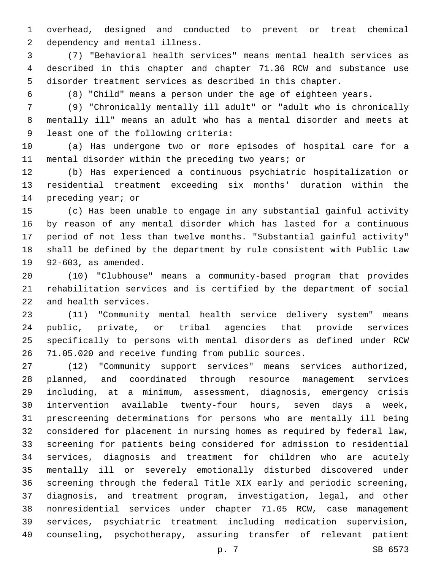overhead, designed and conducted to prevent or treat chemical 2 dependency and mental illness.

 (7) "Behavioral health services" means mental health services as described in this chapter and chapter 71.36 RCW and substance use disorder treatment services as described in this chapter.

(8) "Child" means a person under the age of eighteen years.

 (9) "Chronically mentally ill adult" or "adult who is chronically mentally ill" means an adult who has a mental disorder and meets at 9 least one of the following criteria:

 (a) Has undergone two or more episodes of hospital care for a mental disorder within the preceding two years; or

 (b) Has experienced a continuous psychiatric hospitalization or residential treatment exceeding six months' duration within the 14 preceding year; or

 (c) Has been unable to engage in any substantial gainful activity by reason of any mental disorder which has lasted for a continuous period of not less than twelve months. "Substantial gainful activity" shall be defined by the department by rule consistent with Public Law 19 92-603, as amended.

 (10) "Clubhouse" means a community-based program that provides rehabilitation services and is certified by the department of social 22 and health services.

 (11) "Community mental health service delivery system" means public, private, or tribal agencies that provide services specifically to persons with mental disorders as defined under RCW 71.05.020 and receive funding from public sources.

 (12) "Community support services" means services authorized, planned, and coordinated through resource management services including, at a minimum, assessment, diagnosis, emergency crisis intervention available twenty-four hours, seven days a week, prescreening determinations for persons who are mentally ill being considered for placement in nursing homes as required by federal law, screening for patients being considered for admission to residential services, diagnosis and treatment for children who are acutely mentally ill or severely emotionally disturbed discovered under screening through the federal Title XIX early and periodic screening, diagnosis, and treatment program, investigation, legal, and other nonresidential services under chapter 71.05 RCW, case management services, psychiatric treatment including medication supervision, counseling, psychotherapy, assuring transfer of relevant patient

p. 7 SB 6573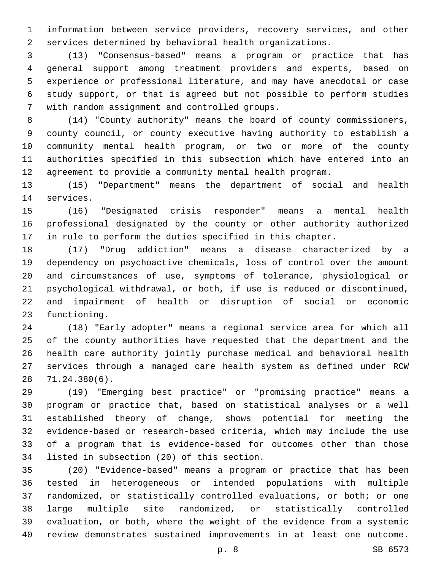information between service providers, recovery services, and other services determined by behavioral health organizations.

 (13) "Consensus-based" means a program or practice that has general support among treatment providers and experts, based on experience or professional literature, and may have anecdotal or case study support, or that is agreed but not possible to perform studies 7 with random assignment and controlled groups.

 (14) "County authority" means the board of county commissioners, county council, or county executive having authority to establish a community mental health program, or two or more of the county authorities specified in this subsection which have entered into an agreement to provide a community mental health program.

 (15) "Department" means the department of social and health 14 services.

 (16) "Designated crisis responder" means a mental health professional designated by the county or other authority authorized in rule to perform the duties specified in this chapter.

 (17) "Drug addiction" means a disease characterized by a dependency on psychoactive chemicals, loss of control over the amount and circumstances of use, symptoms of tolerance, physiological or psychological withdrawal, or both, if use is reduced or discontinued, and impairment of health or disruption of social or economic 23 functioning.

 (18) "Early adopter" means a regional service area for which all of the county authorities have requested that the department and the health care authority jointly purchase medical and behavioral health services through a managed care health system as defined under RCW 71.24.380(6).28

 (19) "Emerging best practice" or "promising practice" means a program or practice that, based on statistical analyses or a well established theory of change, shows potential for meeting the evidence-based or research-based criteria, which may include the use of a program that is evidence-based for outcomes other than those 34 listed in subsection (20) of this section.

 (20) "Evidence-based" means a program or practice that has been tested in heterogeneous or intended populations with multiple randomized, or statistically controlled evaluations, or both; or one large multiple site randomized, or statistically controlled evaluation, or both, where the weight of the evidence from a systemic review demonstrates sustained improvements in at least one outcome.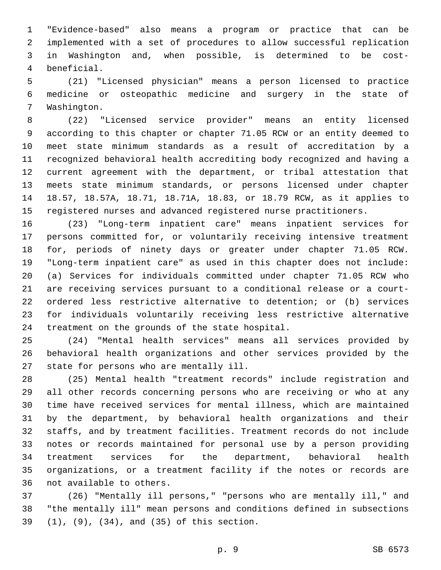"Evidence-based" also means a program or practice that can be implemented with a set of procedures to allow successful replication in Washington and, when possible, is determined to be costbeneficial.4

 (21) "Licensed physician" means a person licensed to practice medicine or osteopathic medicine and surgery in the state of 7 Washington.

 (22) "Licensed service provider" means an entity licensed according to this chapter or chapter 71.05 RCW or an entity deemed to meet state minimum standards as a result of accreditation by a recognized behavioral health accrediting body recognized and having a current agreement with the department, or tribal attestation that meets state minimum standards, or persons licensed under chapter 18.57, 18.57A, 18.71, 18.71A, 18.83, or 18.79 RCW, as it applies to registered nurses and advanced registered nurse practitioners.

 (23) "Long-term inpatient care" means inpatient services for persons committed for, or voluntarily receiving intensive treatment for, periods of ninety days or greater under chapter 71.05 RCW. "Long-term inpatient care" as used in this chapter does not include: (a) Services for individuals committed under chapter 71.05 RCW who are receiving services pursuant to a conditional release or a court- ordered less restrictive alternative to detention; or (b) services for individuals voluntarily receiving less restrictive alternative 24 treatment on the grounds of the state hospital.

 (24) "Mental health services" means all services provided by behavioral health organizations and other services provided by the 27 state for persons who are mentally ill.

 (25) Mental health "treatment records" include registration and all other records concerning persons who are receiving or who at any time have received services for mental illness, which are maintained by the department, by behavioral health organizations and their staffs, and by treatment facilities. Treatment records do not include notes or records maintained for personal use by a person providing treatment services for the department, behavioral health organizations, or a treatment facility if the notes or records are 36 not available to others.

 (26) "Mentally ill persons," "persons who are mentally ill," and "the mentally ill" mean persons and conditions defined in subsections (1), (9), (34), and (35) of this section.39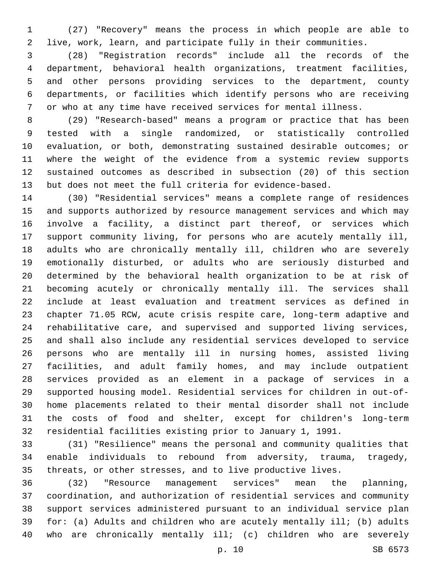(27) "Recovery" means the process in which people are able to live, work, learn, and participate fully in their communities.

 (28) "Registration records" include all the records of the department, behavioral health organizations, treatment facilities, and other persons providing services to the department, county departments, or facilities which identify persons who are receiving or who at any time have received services for mental illness.

 (29) "Research-based" means a program or practice that has been tested with a single randomized, or statistically controlled evaluation, or both, demonstrating sustained desirable outcomes; or where the weight of the evidence from a systemic review supports sustained outcomes as described in subsection (20) of this section but does not meet the full criteria for evidence-based.

 (30) "Residential services" means a complete range of residences and supports authorized by resource management services and which may involve a facility, a distinct part thereof, or services which support community living, for persons who are acutely mentally ill, adults who are chronically mentally ill, children who are severely emotionally disturbed, or adults who are seriously disturbed and determined by the behavioral health organization to be at risk of becoming acutely or chronically mentally ill. The services shall include at least evaluation and treatment services as defined in chapter 71.05 RCW, acute crisis respite care, long-term adaptive and rehabilitative care, and supervised and supported living services, and shall also include any residential services developed to service persons who are mentally ill in nursing homes, assisted living facilities, and adult family homes, and may include outpatient services provided as an element in a package of services in a supported housing model. Residential services for children in out-of- home placements related to their mental disorder shall not include the costs of food and shelter, except for children's long-term residential facilities existing prior to January 1, 1991.

 (31) "Resilience" means the personal and community qualities that enable individuals to rebound from adversity, trauma, tragedy, threats, or other stresses, and to live productive lives.

 (32) "Resource management services" mean the planning, coordination, and authorization of residential services and community support services administered pursuant to an individual service plan for: (a) Adults and children who are acutely mentally ill; (b) adults who are chronically mentally ill; (c) children who are severely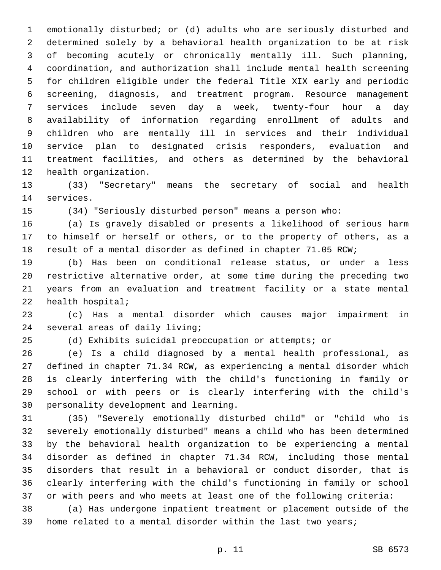emotionally disturbed; or (d) adults who are seriously disturbed and determined solely by a behavioral health organization to be at risk of becoming acutely or chronically mentally ill. Such planning, coordination, and authorization shall include mental health screening for children eligible under the federal Title XIX early and periodic screening, diagnosis, and treatment program. Resource management services include seven day a week, twenty-four hour a day availability of information regarding enrollment of adults and children who are mentally ill in services and their individual service plan to designated crisis responders, evaluation and treatment facilities, and others as determined by the behavioral 12 health organization.

 (33) "Secretary" means the secretary of social and health 14 services.

(34) "Seriously disturbed person" means a person who:

 (a) Is gravely disabled or presents a likelihood of serious harm to himself or herself or others, or to the property of others, as a result of a mental disorder as defined in chapter 71.05 RCW;

 (b) Has been on conditional release status, or under a less restrictive alternative order, at some time during the preceding two years from an evaluation and treatment facility or a state mental 22 health hospital;

 (c) Has a mental disorder which causes major impairment in 24 several areas of daily living;

(d) Exhibits suicidal preoccupation or attempts; or

 (e) Is a child diagnosed by a mental health professional, as defined in chapter 71.34 RCW, as experiencing a mental disorder which is clearly interfering with the child's functioning in family or school or with peers or is clearly interfering with the child's 30 personality development and learning.

 (35) "Severely emotionally disturbed child" or "child who is severely emotionally disturbed" means a child who has been determined by the behavioral health organization to be experiencing a mental disorder as defined in chapter 71.34 RCW, including those mental disorders that result in a behavioral or conduct disorder, that is clearly interfering with the child's functioning in family or school or with peers and who meets at least one of the following criteria:

 (a) Has undergone inpatient treatment or placement outside of the home related to a mental disorder within the last two years;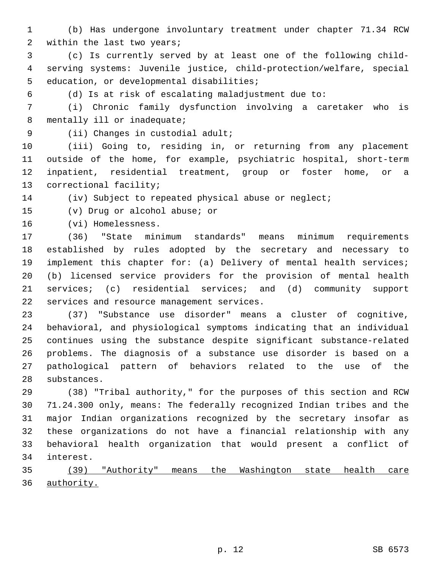- (b) Has undergone involuntary treatment under chapter 71.34 RCW 2 within the last two years;
- (c) Is currently served by at least one of the following child- serving systems: Juvenile justice, child-protection/welfare, special 5 education, or developmental disabilities;
- 

(d) Is at risk of escalating maladjustment due to:

 (i) Chronic family dysfunction involving a caretaker who is 8 mentally ill or inadequate;

9 (ii) Changes in custodial adult;

 (iii) Going to, residing in, or returning from any placement outside of the home, for example, psychiatric hospital, short-term inpatient, residential treatment, group or foster home, or a 13 correctional facility;

(iv) Subject to repeated physical abuse or neglect;

15 (v) Drug or alcohol abuse; or

16 (vi) Homelessness.

 (36) "State minimum standards" means minimum requirements established by rules adopted by the secretary and necessary to implement this chapter for: (a) Delivery of mental health services; (b) licensed service providers for the provision of mental health services; (c) residential services; and (d) community support 22 services and resource management services.

 (37) "Substance use disorder" means a cluster of cognitive, behavioral, and physiological symptoms indicating that an individual continues using the substance despite significant substance-related problems. The diagnosis of a substance use disorder is based on a pathological pattern of behaviors related to the use of the 28 substances.

 (38) "Tribal authority," for the purposes of this section and RCW 71.24.300 only, means: The federally recognized Indian tribes and the major Indian organizations recognized by the secretary insofar as these organizations do not have a financial relationship with any behavioral health organization that would present a conflict of 34 interest.

 (39) "Authority" means the Washington state health care authority.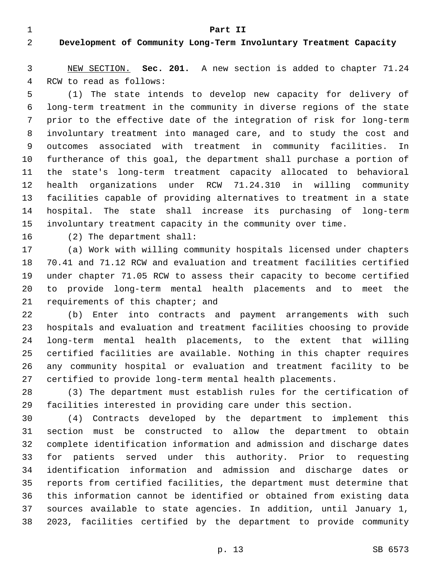**Part II**

## **Development of Community Long-Term Involuntary Treatment Capacity**

 NEW SECTION. **Sec. 201.** A new section is added to chapter 71.24 4 RCW to read as follows:

 (1) The state intends to develop new capacity for delivery of long-term treatment in the community in diverse regions of the state prior to the effective date of the integration of risk for long-term involuntary treatment into managed care, and to study the cost and outcomes associated with treatment in community facilities. In furtherance of this goal, the department shall purchase a portion of the state's long-term treatment capacity allocated to behavioral health organizations under RCW 71.24.310 in willing community facilities capable of providing alternatives to treatment in a state hospital. The state shall increase its purchasing of long-term involuntary treatment capacity in the community over time.

16 (2) The department shall:

 (a) Work with willing community hospitals licensed under chapters 70.41 and 71.12 RCW and evaluation and treatment facilities certified under chapter 71.05 RCW to assess their capacity to become certified to provide long-term mental health placements and to meet the 21 requirements of this chapter; and

 (b) Enter into contracts and payment arrangements with such hospitals and evaluation and treatment facilities choosing to provide long-term mental health placements, to the extent that willing certified facilities are available. Nothing in this chapter requires any community hospital or evaluation and treatment facility to be certified to provide long-term mental health placements.

 (3) The department must establish rules for the certification of facilities interested in providing care under this section.

 (4) Contracts developed by the department to implement this section must be constructed to allow the department to obtain complete identification information and admission and discharge dates for patients served under this authority. Prior to requesting identification information and admission and discharge dates or reports from certified facilities, the department must determine that this information cannot be identified or obtained from existing data sources available to state agencies. In addition, until January 1, 2023, facilities certified by the department to provide community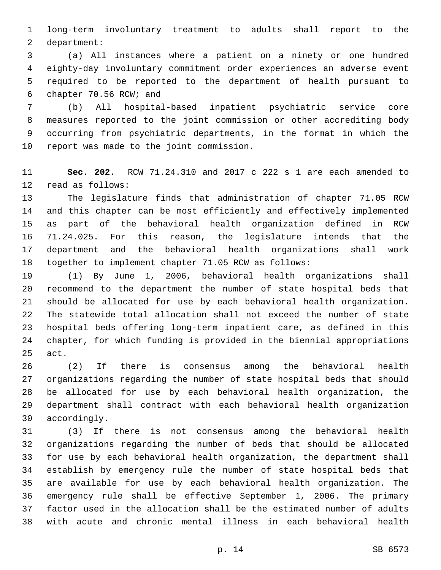long-term involuntary treatment to adults shall report to the 2 department:

 (a) All instances where a patient on a ninety or one hundred eighty-day involuntary commitment order experiences an adverse event required to be reported to the department of health pursuant to chapter 70.56 RCW; and6

 (b) All hospital-based inpatient psychiatric service core measures reported to the joint commission or other accrediting body occurring from psychiatric departments, in the format in which the 10 report was made to the joint commission.

 **Sec. 202.** RCW 71.24.310 and 2017 c 222 s 1 are each amended to 12 read as follows:

 The legislature finds that administration of chapter 71.05 RCW and this chapter can be most efficiently and effectively implemented as part of the behavioral health organization defined in RCW 71.24.025. For this reason, the legislature intends that the department and the behavioral health organizations shall work together to implement chapter 71.05 RCW as follows:

 (1) By June 1, 2006, behavioral health organizations shall recommend to the department the number of state hospital beds that should be allocated for use by each behavioral health organization. The statewide total allocation shall not exceed the number of state hospital beds offering long-term inpatient care, as defined in this chapter, for which funding is provided in the biennial appropriations 25 act.

 (2) If there is consensus among the behavioral health organizations regarding the number of state hospital beds that should be allocated for use by each behavioral health organization, the department shall contract with each behavioral health organization 30 accordingly.

 (3) If there is not consensus among the behavioral health organizations regarding the number of beds that should be allocated for use by each behavioral health organization, the department shall establish by emergency rule the number of state hospital beds that are available for use by each behavioral health organization. The emergency rule shall be effective September 1, 2006. The primary factor used in the allocation shall be the estimated number of adults with acute and chronic mental illness in each behavioral health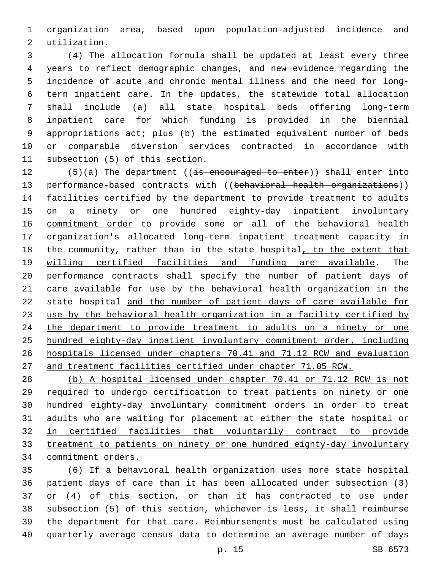organization area, based upon population-adjusted incidence and 2 utilization.

 (4) The allocation formula shall be updated at least every three years to reflect demographic changes, and new evidence regarding the incidence of acute and chronic mental illness and the need for long- term inpatient care. In the updates, the statewide total allocation shall include (a) all state hospital beds offering long-term inpatient care for which funding is provided in the biennial appropriations act; plus (b) the estimated equivalent number of beds or comparable diversion services contracted in accordance with 11 subsection (5) of this section.

12 (5)(a) The department ((is encouraged to enter)) shall enter into 13 performance-based contracts with ((behavioral health organizations)) facilities certified by the department to provide treatment to adults on a ninety or one hundred eighty-day inpatient involuntary commitment order to provide some or all of the behavioral health organization's allocated long-term inpatient treatment capacity in the community, rather than in the state hospital, to the extent that willing certified facilities and funding are available. The performance contracts shall specify the number of patient days of care available for use by the behavioral health organization in the state hospital and the number of patient days of care available for use by the behavioral health organization in a facility certified by 24 the department to provide treatment to adults on a ninety or one hundred eighty-day inpatient involuntary commitment order, including hospitals licensed under chapters 70.41 and 71.12 RCW and evaluation and treatment facilities certified under chapter 71.05 RCW.

 (b) A hospital licensed under chapter 70.41 or 71.12 RCW is not required to undergo certification to treat patients on ninety or one hundred eighty-day involuntary commitment orders in order to treat adults who are waiting for placement at either the state hospital or in certified facilities that voluntarily contract to provide treatment to patients on ninety or one hundred eighty-day involuntary 34 commitment orders.

 (6) If a behavioral health organization uses more state hospital patient days of care than it has been allocated under subsection (3) or (4) of this section, or than it has contracted to use under subsection (5) of this section, whichever is less, it shall reimburse the department for that care. Reimbursements must be calculated using quarterly average census data to determine an average number of days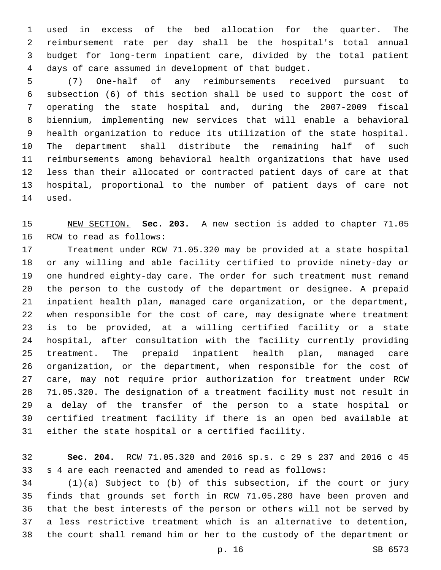used in excess of the bed allocation for the quarter. The reimbursement rate per day shall be the hospital's total annual budget for long-term inpatient care, divided by the total patient days of care assumed in development of that budget.

 (7) One-half of any reimbursements received pursuant to subsection (6) of this section shall be used to support the cost of operating the state hospital and, during the 2007-2009 fiscal biennium, implementing new services that will enable a behavioral health organization to reduce its utilization of the state hospital. The department shall distribute the remaining half of such reimbursements among behavioral health organizations that have used less than their allocated or contracted patient days of care at that hospital, proportional to the number of patient days of care not 14 used.

 NEW SECTION. **Sec. 203.** A new section is added to chapter 71.05 16 RCW to read as follows:

 Treatment under RCW 71.05.320 may be provided at a state hospital or any willing and able facility certified to provide ninety-day or one hundred eighty-day care. The order for such treatment must remand the person to the custody of the department or designee. A prepaid inpatient health plan, managed care organization, or the department, when responsible for the cost of care, may designate where treatment is to be provided, at a willing certified facility or a state hospital, after consultation with the facility currently providing treatment. The prepaid inpatient health plan, managed care organization, or the department, when responsible for the cost of care, may not require prior authorization for treatment under RCW 71.05.320. The designation of a treatment facility must not result in a delay of the transfer of the person to a state hospital or certified treatment facility if there is an open bed available at either the state hospital or a certified facility.

 **Sec. 204.** RCW 71.05.320 and 2016 sp.s. c 29 s 237 and 2016 c 45 s 4 are each reenacted and amended to read as follows:

 (1)(a) Subject to (b) of this subsection, if the court or jury finds that grounds set forth in RCW 71.05.280 have been proven and that the best interests of the person or others will not be served by a less restrictive treatment which is an alternative to detention, the court shall remand him or her to the custody of the department or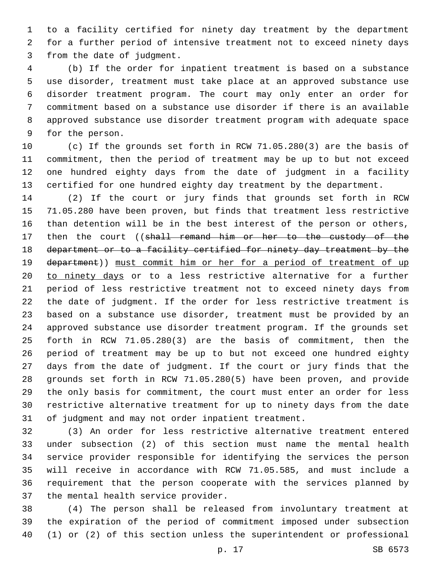to a facility certified for ninety day treatment by the department for a further period of intensive treatment not to exceed ninety days 3 from the date of judgment.

 (b) If the order for inpatient treatment is based on a substance use disorder, treatment must take place at an approved substance use disorder treatment program. The court may only enter an order for commitment based on a substance use disorder if there is an available approved substance use disorder treatment program with adequate space 9 for the person.

 (c) If the grounds set forth in RCW 71.05.280(3) are the basis of commitment, then the period of treatment may be up to but not exceed one hundred eighty days from the date of judgment in a facility certified for one hundred eighty day treatment by the department.

 (2) If the court or jury finds that grounds set forth in RCW 71.05.280 have been proven, but finds that treatment less restrictive than detention will be in the best interest of the person or others, 17 then the court ((shall remand him or her to the custody of the 18 department or to a facility certified for ninety day treatment by the 19 department)) must commit him or her for a period of treatment of up 20 to ninety days or to a less restrictive alternative for a further period of less restrictive treatment not to exceed ninety days from the date of judgment. If the order for less restrictive treatment is based on a substance use disorder, treatment must be provided by an approved substance use disorder treatment program. If the grounds set forth in RCW 71.05.280(3) are the basis of commitment, then the period of treatment may be up to but not exceed one hundred eighty days from the date of judgment. If the court or jury finds that the grounds set forth in RCW 71.05.280(5) have been proven, and provide the only basis for commitment, the court must enter an order for less restrictive alternative treatment for up to ninety days from the date of judgment and may not order inpatient treatment.

 (3) An order for less restrictive alternative treatment entered under subsection (2) of this section must name the mental health service provider responsible for identifying the services the person will receive in accordance with RCW 71.05.585, and must include a requirement that the person cooperate with the services planned by 37 the mental health service provider.

 (4) The person shall be released from involuntary treatment at the expiration of the period of commitment imposed under subsection (1) or (2) of this section unless the superintendent or professional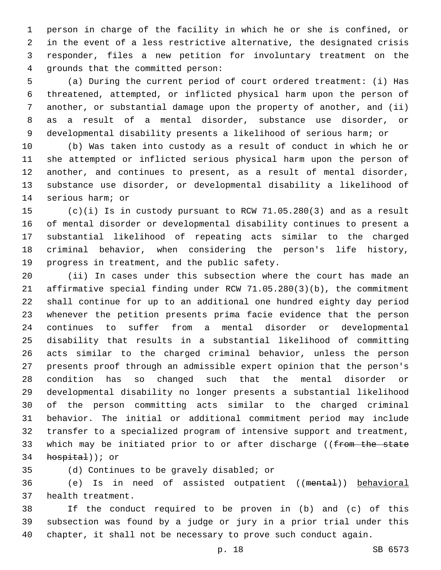person in charge of the facility in which he or she is confined, or in the event of a less restrictive alternative, the designated crisis responder, files a new petition for involuntary treatment on the 4 qrounds that the committed person:

 (a) During the current period of court ordered treatment: (i) Has threatened, attempted, or inflicted physical harm upon the person of another, or substantial damage upon the property of another, and (ii) as a result of a mental disorder, substance use disorder, or developmental disability presents a likelihood of serious harm; or

 (b) Was taken into custody as a result of conduct in which he or she attempted or inflicted serious physical harm upon the person of another, and continues to present, as a result of mental disorder, substance use disorder, or developmental disability a likelihood of 14 serious harm; or

 (c)(i) Is in custody pursuant to RCW 71.05.280(3) and as a result of mental disorder or developmental disability continues to present a substantial likelihood of repeating acts similar to the charged criminal behavior, when considering the person's life history, 19 progress in treatment, and the public safety.

 (ii) In cases under this subsection where the court has made an affirmative special finding under RCW 71.05.280(3)(b), the commitment shall continue for up to an additional one hundred eighty day period whenever the petition presents prima facie evidence that the person continues to suffer from a mental disorder or developmental disability that results in a substantial likelihood of committing acts similar to the charged criminal behavior, unless the person presents proof through an admissible expert opinion that the person's condition has so changed such that the mental disorder or developmental disability no longer presents a substantial likelihood of the person committing acts similar to the charged criminal behavior. The initial or additional commitment period may include transfer to a specialized program of intensive support and treatment, 33 which may be initiated prior to or after discharge ((from the state hospital)); or

(d) Continues to be gravely disabled; or

 (e) Is in need of assisted outpatient ((mental)) behavioral 37 health treatment.

 If the conduct required to be proven in (b) and (c) of this subsection was found by a judge or jury in a prior trial under this chapter, it shall not be necessary to prove such conduct again.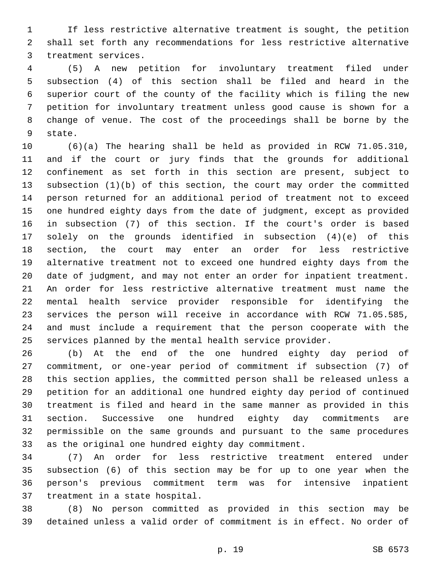If less restrictive alternative treatment is sought, the petition shall set forth any recommendations for less restrictive alternative 3 treatment services.

 (5) A new petition for involuntary treatment filed under subsection (4) of this section shall be filed and heard in the superior court of the county of the facility which is filing the new petition for involuntary treatment unless good cause is shown for a change of venue. The cost of the proceedings shall be borne by the 9 state.

 (6)(a) The hearing shall be held as provided in RCW 71.05.310, and if the court or jury finds that the grounds for additional confinement as set forth in this section are present, subject to subsection (1)(b) of this section, the court may order the committed person returned for an additional period of treatment not to exceed one hundred eighty days from the date of judgment, except as provided in subsection (7) of this section. If the court's order is based solely on the grounds identified in subsection (4)(e) of this section, the court may enter an order for less restrictive alternative treatment not to exceed one hundred eighty days from the date of judgment, and may not enter an order for inpatient treatment. An order for less restrictive alternative treatment must name the mental health service provider responsible for identifying the services the person will receive in accordance with RCW 71.05.585, and must include a requirement that the person cooperate with the services planned by the mental health service provider.

 (b) At the end of the one hundred eighty day period of commitment, or one-year period of commitment if subsection (7) of this section applies, the committed person shall be released unless a petition for an additional one hundred eighty day period of continued treatment is filed and heard in the same manner as provided in this section. Successive one hundred eighty day commitments are permissible on the same grounds and pursuant to the same procedures as the original one hundred eighty day commitment.

 (7) An order for less restrictive treatment entered under subsection (6) of this section may be for up to one year when the person's previous commitment term was for intensive inpatient 37 treatment in a state hospital.

 (8) No person committed as provided in this section may be detained unless a valid order of commitment is in effect. No order of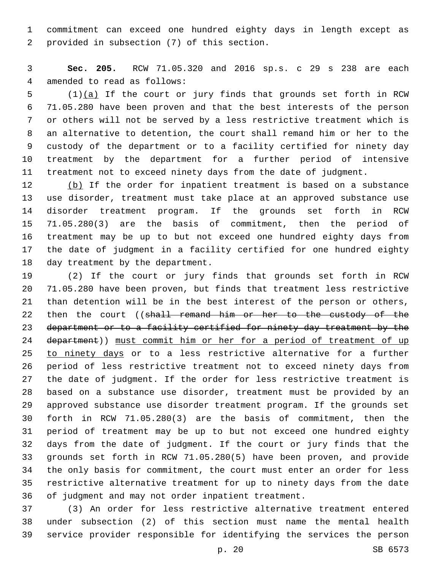commitment can exceed one hundred eighty days in length except as 2 provided in subsection (7) of this section.

 **Sec. 205.** RCW 71.05.320 and 2016 sp.s. c 29 s 238 are each 4 amended to read as follows:

 (1)(a) If the court or jury finds that grounds set forth in RCW 71.05.280 have been proven and that the best interests of the person or others will not be served by a less restrictive treatment which is an alternative to detention, the court shall remand him or her to the custody of the department or to a facility certified for ninety day treatment by the department for a further period of intensive treatment not to exceed ninety days from the date of judgment.

12 (b) If the order for inpatient treatment is based on a substance use disorder, treatment must take place at an approved substance use disorder treatment program. If the grounds set forth in RCW 71.05.280(3) are the basis of commitment, then the period of treatment may be up to but not exceed one hundred eighty days from the date of judgment in a facility certified for one hundred eighty 18 day treatment by the department.

 (2) If the court or jury finds that grounds set forth in RCW 71.05.280 have been proven, but finds that treatment less restrictive than detention will be in the best interest of the person or others, 22 then the court ((shall remand him or her to the custody of the department or to a facility certified for ninety day treatment by the 24 department)) must commit him or her for a period of treatment of up to ninety days or to a less restrictive alternative for a further period of less restrictive treatment not to exceed ninety days from the date of judgment. If the order for less restrictive treatment is based on a substance use disorder, treatment must be provided by an approved substance use disorder treatment program. If the grounds set forth in RCW 71.05.280(3) are the basis of commitment, then the period of treatment may be up to but not exceed one hundred eighty days from the date of judgment. If the court or jury finds that the grounds set forth in RCW 71.05.280(5) have been proven, and provide the only basis for commitment, the court must enter an order for less restrictive alternative treatment for up to ninety days from the date of judgment and may not order inpatient treatment.

 (3) An order for less restrictive alternative treatment entered under subsection (2) of this section must name the mental health service provider responsible for identifying the services the person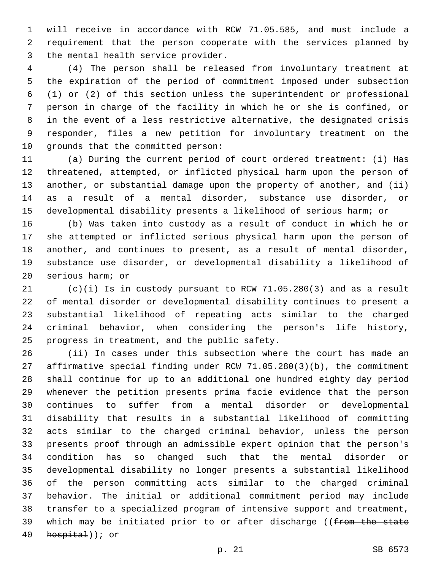will receive in accordance with RCW 71.05.585, and must include a requirement that the person cooperate with the services planned by 3 the mental health service provider.

 (4) The person shall be released from involuntary treatment at the expiration of the period of commitment imposed under subsection (1) or (2) of this section unless the superintendent or professional person in charge of the facility in which he or she is confined, or in the event of a less restrictive alternative, the designated crisis responder, files a new petition for involuntary treatment on the 10 grounds that the committed person:

 (a) During the current period of court ordered treatment: (i) Has threatened, attempted, or inflicted physical harm upon the person of another, or substantial damage upon the property of another, and (ii) as a result of a mental disorder, substance use disorder, or developmental disability presents a likelihood of serious harm; or

 (b) Was taken into custody as a result of conduct in which he or she attempted or inflicted serious physical harm upon the person of another, and continues to present, as a result of mental disorder, substance use disorder, or developmental disability a likelihood of 20 serious harm; or

 (c)(i) Is in custody pursuant to RCW 71.05.280(3) and as a result of mental disorder or developmental disability continues to present a substantial likelihood of repeating acts similar to the charged criminal behavior, when considering the person's life history, 25 progress in treatment, and the public safety.

 (ii) In cases under this subsection where the court has made an affirmative special finding under RCW 71.05.280(3)(b), the commitment shall continue for up to an additional one hundred eighty day period whenever the petition presents prima facie evidence that the person continues to suffer from a mental disorder or developmental disability that results in a substantial likelihood of committing acts similar to the charged criminal behavior, unless the person presents proof through an admissible expert opinion that the person's condition has so changed such that the mental disorder or developmental disability no longer presents a substantial likelihood of the person committing acts similar to the charged criminal behavior. The initial or additional commitment period may include transfer to a specialized program of intensive support and treatment, 39 which may be initiated prior to or after discharge ((from the state  $h$ ospital)); or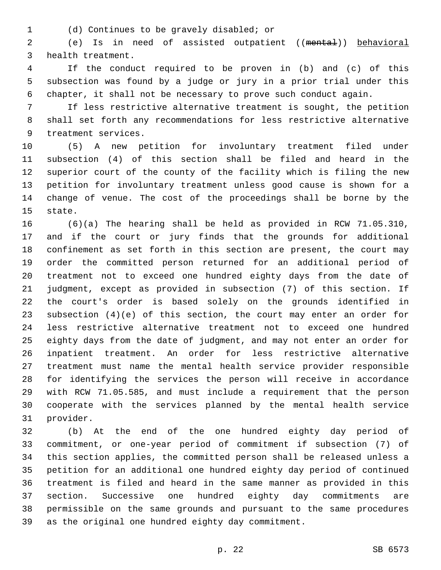(d) Continues to be gravely disabled; or1

 (e) Is in need of assisted outpatient ((mental)) behavioral 3 health treatment.

 If the conduct required to be proven in (b) and (c) of this subsection was found by a judge or jury in a prior trial under this chapter, it shall not be necessary to prove such conduct again.

 If less restrictive alternative treatment is sought, the petition shall set forth any recommendations for less restrictive alternative 9 treatment services.

 (5) A new petition for involuntary treatment filed under subsection (4) of this section shall be filed and heard in the superior court of the county of the facility which is filing the new petition for involuntary treatment unless good cause is shown for a change of venue. The cost of the proceedings shall be borne by the 15 state.

 (6)(a) The hearing shall be held as provided in RCW 71.05.310, and if the court or jury finds that the grounds for additional confinement as set forth in this section are present, the court may order the committed person returned for an additional period of treatment not to exceed one hundred eighty days from the date of judgment, except as provided in subsection (7) of this section. If the court's order is based solely on the grounds identified in subsection (4)(e) of this section, the court may enter an order for less restrictive alternative treatment not to exceed one hundred eighty days from the date of judgment, and may not enter an order for inpatient treatment. An order for less restrictive alternative treatment must name the mental health service provider responsible for identifying the services the person will receive in accordance with RCW 71.05.585, and must include a requirement that the person cooperate with the services planned by the mental health service 31 provider.

 (b) At the end of the one hundred eighty day period of commitment, or one-year period of commitment if subsection (7) of this section applies, the committed person shall be released unless a petition for an additional one hundred eighty day period of continued treatment is filed and heard in the same manner as provided in this section. Successive one hundred eighty day commitments are permissible on the same grounds and pursuant to the same procedures as the original one hundred eighty day commitment.